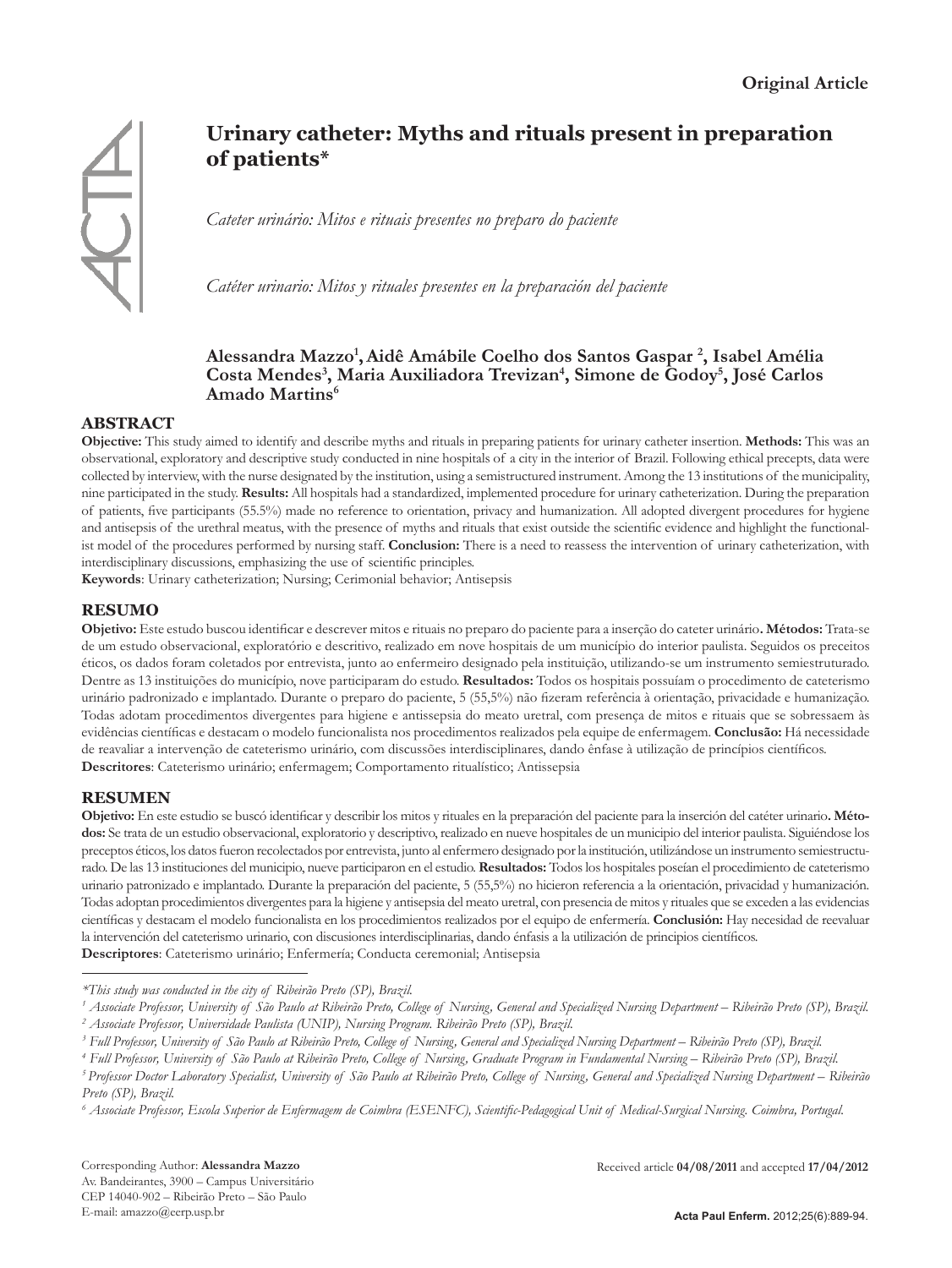

# **Urinary catheter: Myths and rituals present in preparation of patients\***

*Cateter urinário: Mitos e rituais presentes no preparo do paciente*

*Catéter urinario: Mitos y rituales presentes en la preparación del paciente*

# **Alessandra Mazzo1 ,Aidê Amábile Coelho dos Santos Gaspar 2 , Isabel Amélia**  Costa Mendes<sup>3</sup>, Maria Auxiliadora Trevizan<sup>4</sup>, Simone de Godoy<sup>5</sup>, José Carlos **Amado Martins6**

# **ABSTRACT**

**Objective:** This study aimed to identify and describe myths and rituals in preparing patients for urinary catheter insertion. **Methods:** This was an observational, exploratory and descriptive study conducted in nine hospitals of a city in the interior of Brazil. Following ethical precepts, data were collected by interview, with the nurse designated by the institution, using a semistructured instrument. Among the 13 institutions of the municipality, nine participated in the study. **Results:** All hospitals had a standardized, implemented procedure for urinary catheterization. During the preparation of patients, five participants (55.5%) made no reference to orientation, privacy and humanization. All adopted divergent procedures for hygiene and antisepsis of the urethral meatus, with the presence of myths and rituals that exist outside the scientific evidence and highlight the functionalist model of the procedures performed by nursing staff. **Conclusion:** There is a need to reassess the intervention of urinary catheterization, with interdisciplinary discussions, emphasizing the use of scientific principles.

**Keywords**: Urinary catheterization; Nursing; Cerimonial behavior; Antisepsis

# **RESUMO**

**Objetivo:** Este estudo buscou identificar e descrever mitos e rituais no preparo do paciente para a inserção do cateter urinário**. Métodos:** Trata-se de um estudo observacional, exploratório e descritivo, realizado em nove hospitais de um município do interior paulista. Seguidos os preceitos éticos, os dados foram coletados por entrevista, junto ao enfermeiro designado pela instituição, utilizando-se um instrumento semiestruturado. Dentre as 13 instituições do município, nove participaram do estudo. **Resultados:** Todos os hospitais possuíam o procedimento de cateterismo urinário padronizado e implantado. Durante o preparo do paciente, 5 (55,5%) não fizeram referência à orientação, privacidade e humanização. Todas adotam procedimentos divergentes para higiene e antissepsia do meato uretral, com presença de mitos e rituais que se sobressaem às evidências científicas e destacam o modelo funcionalista nos procedimentos realizados pela equipe de enfermagem. **Conclusão:** Há necessidade de reavaliar a intervenção de cateterismo urinário, com discussões interdisciplinares, dando ênfase à utilização de princípios científicos. **Descritores**: Cateterismo urinário; enfermagem; Comportamento ritualístico; Antissepsia

## **RESUMEN**

**Objetivo:** En este estudio se buscó identificar y describir los mitos y rituales en la preparación del paciente para la inserción del catéter urinario**. Métodos:** Se trata de un estudio observacional, exploratorio y descriptivo, realizado en nueve hospitales de un municipio del interior paulista. Siguiéndose los preceptos éticos, los datos fueron recolectados por entrevista, junto al enfermero designado por la institución, utilizándose un instrumento semiestructurado. De las 13 instituciones del municipio, nueve participaron en el estudio. **Resultados:** Todos los hospitales poseían el procedimiento de cateterismo urinario patronizado e implantado. Durante la preparación del paciente, 5 (55,5%) no hicieron referencia a la orientación, privacidad y humanización. Todas adoptan procedimientos divergentes para la higiene y antisepsia del meato uretral, con presencia de mitos y rituales que se exceden a las evidencias científicas y destacam el modelo funcionalista en los procedimientos realizados por el equipo de enfermería. **Conclusión:** Hay necesidad de reevaluar la intervención del cateterismo urinario, con discusiones interdisciplinarias, dando énfasis a la utilización de principios científicos. **Descriptores**: Cateterismo urinário; Enfermería; Conducta ceremonial; Antisepsia

*<sup>\*</sup>This study was conducted in the city of Ribeirão Preto (SP), Brazil.*

<sup>&</sup>lt;sup>1</sup> Associate Professor, University of São Paulo at Ribeirão Preto, College of Nursing, General and Specialized Nursing Department – Ribeirão Preto (SP), Brazil. *2 Associate Professor, Universidade Paulista (UNIP), Nursing Program. Ribeirão Preto (SP), Brazil.*

*<sup>3</sup> Full Professor, University of São Paulo at Ribeirão Preto, College of Nursing, General and Specialized Nursing Department – Ribeirão Preto (SP), Brazil.*

*<sup>4</sup> Full Professor, University of São Paulo at Ribeirão Preto, College of Nursing, Graduate Program in Fundamental Nursing – Ribeirão Preto (SP), Brazil.*

*<sup>5</sup> Professor Doctor Laboratory Specialist, University of São Paulo at Ribeirão Preto, College of Nursing, General and Specialized Nursing Department – Ribeirão Preto (SP), Brazil.*

*<sup>6</sup> Associate Professor, Escola Superior de Enfermagem de Coimbra (ESENFC), Scientific-Pedagogical Unit of Medical-Surgical Nursing. Coimbra, Portugal.*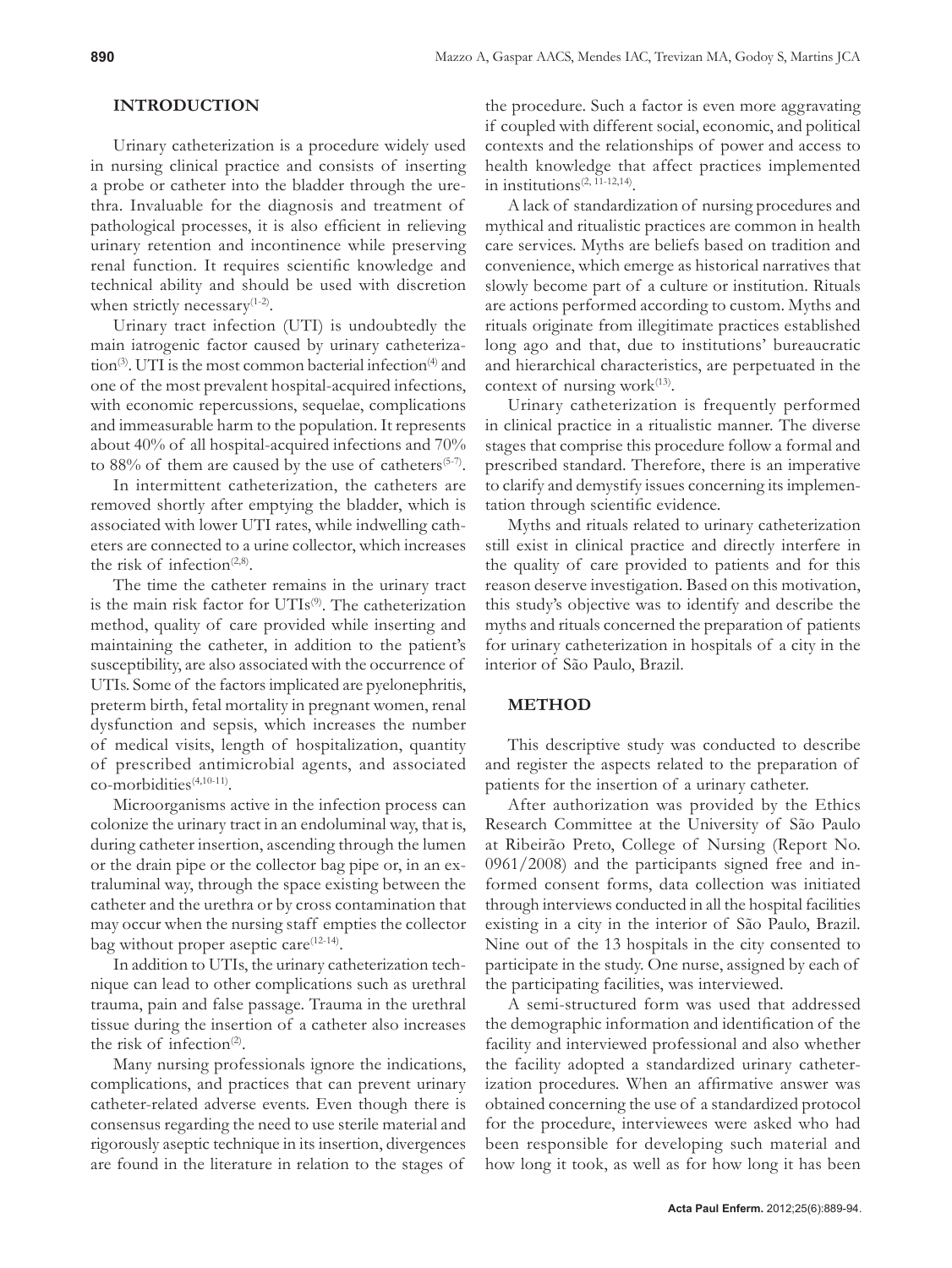# **INTRODUCTION**

Urinary catheterization is a procedure widely used in nursing clinical practice and consists of inserting a probe or catheter into the bladder through the urethra. Invaluable for the diagnosis and treatment of pathological processes, it is also efficient in relieving urinary retention and incontinence while preserving renal function. It requires scientific knowledge and technical ability and should be used with discretion when strictly necessary<sup>(1-2)</sup>.

Urinary tract infection (UTI) is undoubtedly the main iatrogenic factor caused by urinary catheterization<sup>(3)</sup>. UTI is the most common bacterial infection<sup>(4)</sup> and one of the most prevalent hospital-acquired infections, with economic repercussions, sequelae, complications and immeasurable harm to the population. It represents about 40% of all hospital-acquired infections and 70% to 88% of them are caused by the use of catheters<sup> $(5-7)$ </sup>.

In intermittent catheterization, the catheters are removed shortly after emptying the bladder, which is associated with lower UTI rates, while indwelling catheters are connected to a urine collector, which increases the risk of infection<sup>(2,8)</sup>.

The time the catheter remains in the urinary tract is the main risk factor for UTIs<sup>(9)</sup>. The catheterization method, quality of care provided while inserting and maintaining the catheter, in addition to the patient's susceptibility, are also associated with the occurrence of UTIs. Some of the factors implicated are pyelonephritis, preterm birth, fetal mortality in pregnant women, renal dysfunction and sepsis, which increases the number of medical visits, length of hospitalization, quantity of prescribed antimicrobial agents, and associated co-morbidities(4,10-11).

Microorganisms active in the infection process can colonize the urinary tract in an endoluminal way, that is, during catheter insertion, ascending through the lumen or the drain pipe or the collector bag pipe or, in an extraluminal way, through the space existing between the catheter and the urethra or by cross contamination that may occur when the nursing staff empties the collector bag without proper aseptic care<sup>(12-14)</sup>.

In addition to UTIs, the urinary catheterization technique can lead to other complications such as urethral trauma, pain and false passage. Trauma in the urethral tissue during the insertion of a catheter also increases the risk of infection<sup>(2)</sup>.

Many nursing professionals ignore the indications, complications, and practices that can prevent urinary catheter-related adverse events. Even though there is consensus regarding the need to use sterile material and rigorously aseptic technique in its insertion, divergences are found in the literature in relation to the stages of

the procedure. Such a factor is even more aggravating if coupled with different social, economic, and political contexts and the relationships of power and access to health knowledge that affect practices implemented in institutions $(2, 11-12, 14)$ .

A lack of standardization of nursing procedures and mythical and ritualistic practices are common in health care services. Myths are beliefs based on tradition and convenience, which emerge as historical narratives that slowly become part of a culture or institution. Rituals are actions performed according to custom. Myths and rituals originate from illegitimate practices established long ago and that, due to institutions' bureaucratic and hierarchical characteristics, are perpetuated in the context of nursing work $(13)$ .

Urinary catheterization is frequently performed in clinical practice in a ritualistic manner. The diverse stages that comprise this procedure follow a formal and prescribed standard. Therefore, there is an imperative to clarify and demystify issues concerning its implementation through scientific evidence.

Myths and rituals related to urinary catheterization still exist in clinical practice and directly interfere in the quality of care provided to patients and for this reason deserve investigation. Based on this motivation, this study's objective was to identify and describe the myths and rituals concerned the preparation of patients for urinary catheterization in hospitals of a city in the interior of São Paulo, Brazil.

#### **METHOD**

This descriptive study was conducted to describe and register the aspects related to the preparation of patients for the insertion of a urinary catheter.

After authorization was provided by the Ethics Research Committee at the University of São Paulo at Ribeirão Preto, College of Nursing (Report No. 0961/2008) and the participants signed free and informed consent forms, data collection was initiated through interviews conducted in all the hospital facilities existing in a city in the interior of São Paulo, Brazil. Nine out of the 13 hospitals in the city consented to participate in the study. One nurse, assigned by each of the participating facilities, was interviewed.

A semi-structured form was used that addressed the demographic information and identification of the facility and interviewed professional and also whether the facility adopted a standardized urinary catheterization procedures. When an affirmative answer was obtained concerning the use of a standardized protocol for the procedure, interviewees were asked who had been responsible for developing such material and how long it took, as well as for how long it has been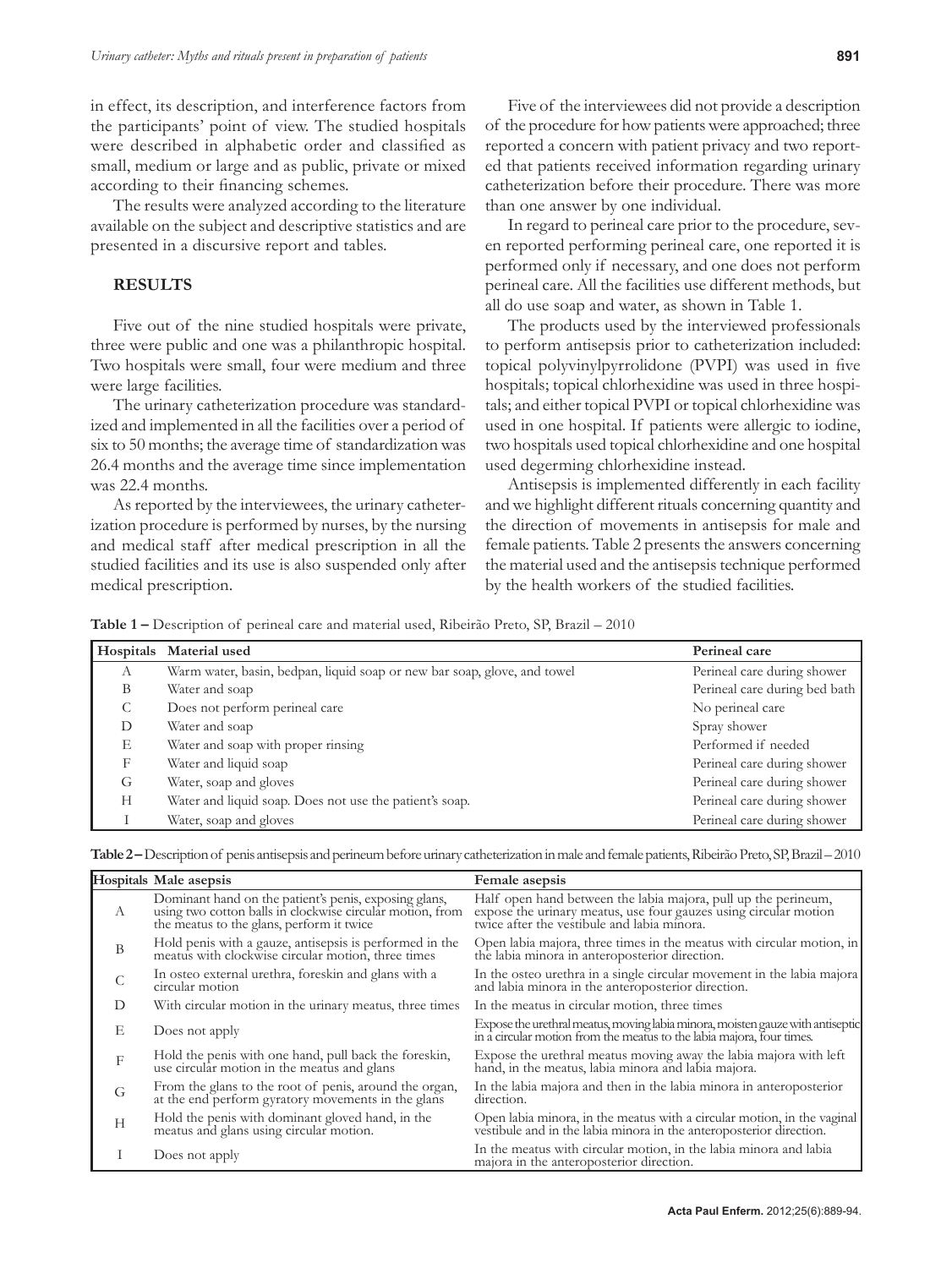in effect, its description, and interference factors from the participants' point of view. The studied hospitals were described in alphabetic order and classified as small, medium or large and as public, private or mixed according to their financing schemes.

The results were analyzed according to the literature available on the subject and descriptive statistics and are presented in a discursive report and tables.

# **RESULTS**

Five out of the nine studied hospitals were private, three were public and one was a philanthropic hospital. Two hospitals were small, four were medium and three were large facilities.

The urinary catheterization procedure was standardized and implemented in all the facilities over a period of six to 50 months; the average time of standardization was 26.4 months and the average time since implementation was 22.4 months.

As reported by the interviewees, the urinary catheterization procedure is performed by nurses, by the nursing and medical staff after medical prescription in all the studied facilities and its use is also suspended only after medical prescription.

Five of the interviewees did not provide a description of the procedure for how patients were approached; three reported a concern with patient privacy and two reported that patients received information regarding urinary catheterization before their procedure. There was more than one answer by one individual.

In regard to perineal care prior to the procedure, seven reported performing perineal care, one reported it is performed only if necessary, and one does not perform perineal care. All the facilities use different methods, but all do use soap and water, as shown in Table 1.

The products used by the interviewed professionals to perform antisepsis prior to catheterization included: topical polyvinylpyrrolidone (PVPI) was used in five hospitals; topical chlorhexidine was used in three hospitals; and either topical PVPI or topical chlorhexidine was used in one hospital. If patients were allergic to iodine, two hospitals used topical chlorhexidine and one hospital used degerming chlorhexidine instead.

Antisepsis is implemented differently in each facility and we highlight different rituals concerning quantity and the direction of movements in antisepsis for male and female patients. Table 2 presents the answers concerning the material used and the antisepsis technique performed by the health workers of the studied facilities.

**Table 1 –** Description of perineal care and material used, Ribeirão Preto, SP, Brazil – 2010

|   | Hospitals Material used                                                  | Perineal care                 |
|---|--------------------------------------------------------------------------|-------------------------------|
| А | Warm water, basin, bedpan, liquid soap or new bar soap, glove, and towel | Perineal care during shower   |
| B | Water and soap                                                           | Perineal care during bed bath |
| C | Does not perform perineal care                                           | No perineal care              |
| D | Water and soap                                                           | Spray shower                  |
| Е | Water and soap with proper rinsing                                       | Performed if needed           |
| F | Water and liquid soap                                                    | Perineal care during shower   |
| G | Water, soap and gloves                                                   | Perineal care during shower   |
| Н | Water and liquid soap. Does not use the patient's soap.                  | Perineal care during shower   |
|   | Water, soap and gloves                                                   | Perineal care during shower   |

|  |  |  |  |  |  |  |  |  |  |  | Table 2 – Description of penis antisepsis and perineum before urinary catheterization in male and female patients, Ribeirão Preto, SP, Brazil – 2010 |  |
|--|--|--|--|--|--|--|--|--|--|--|------------------------------------------------------------------------------------------------------------------------------------------------------|--|
|--|--|--|--|--|--|--|--|--|--|--|------------------------------------------------------------------------------------------------------------------------------------------------------|--|

|               | Hospitals Male asepsis                                                                                                                                          | Female asepsis                                                                                                                                                                    |
|---------------|-----------------------------------------------------------------------------------------------------------------------------------------------------------------|-----------------------------------------------------------------------------------------------------------------------------------------------------------------------------------|
| $\mathcal{A}$ | Dominant hand on the patient's penis, exposing glans,<br>using two cotton balls in clockwise circular motion, from<br>the meatus to the glans, perform it twice | Half open hand between the labia majora, pull up the perineum,<br>expose the urinary meatus, use four gauzes using circular motion<br>twice after the vestibule and labia minora. |
| В             | Hold penis with a gauze, antisepsis is performed in the<br>meatus with clockwise circular motion, three times                                                   | Open labia majora, three times in the meatus with circular motion, in<br>the labia minora in anteroposterior direction.                                                           |
|               | In osteo external urethra, foreskin and glans with a<br>circular motion                                                                                         | In the osteo urethra in a single circular movement in the labia majora<br>and labia minora in the anteroposterior direction.                                                      |
| D             | With circular motion in the urinary meatus, three times                                                                                                         | In the meatus in circular motion, three times                                                                                                                                     |
| E             | Does not apply                                                                                                                                                  | Expose the urethral meatus, moving labia minora, moisten gauze with antiseptic in a circular motion from the meatus to the labia majora, four times.                              |
| F             | Hold the penis with one hand, pull back the foreskin,<br>use circular motion in the meatus and glans                                                            | Expose the urethral meatus moving away the labia majora with left hand, in the meatus, labia minora and labia majora.                                                             |
| G             | From the glans to the root of penis, around the organ,<br>at the end perform gyratory movements in the glans                                                    | In the labia majora and then in the labia minora in anteroposterior<br>direction.                                                                                                 |
| H             | Hold the penis with dominant gloved hand, in the<br>meatus and glans using circular motion.                                                                     | Open labia minora, in the meatus with a circular motion, in the vaginal<br>vestibule and in the labia minora in the anteroposterior direction.                                    |
|               | Does not apply                                                                                                                                                  | In the meatus with circular motion, in the labia minora and labia<br>majora in the anteroposterior direction.                                                                     |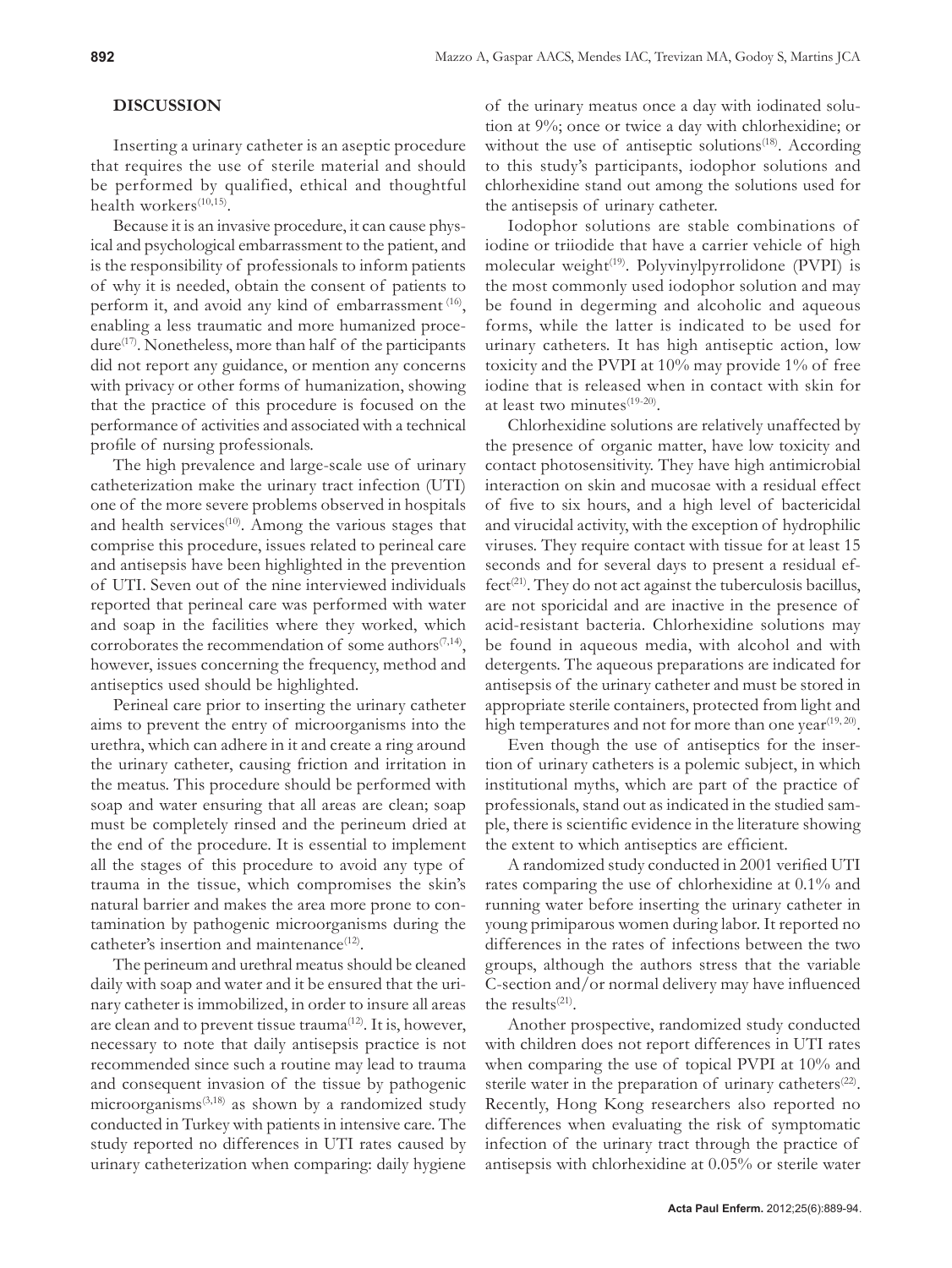# **DISCUSSION**

Inserting a urinary catheter is an aseptic procedure that requires the use of sterile material and should be performed by qualified, ethical and thoughtful health workers<sup>(10,15)</sup>.

Because it is an invasive procedure, it can cause physical and psychological embarrassment to the patient, and is the responsibility of professionals to inform patients of why it is needed, obtain the consent of patients to perform it, and avoid any kind of embarrassment (16), enabling a less traumatic and more humanized procedure<sup>(17)</sup>. Nonetheless, more than half of the participants did not report any guidance, or mention any concerns with privacy or other forms of humanization, showing that the practice of this procedure is focused on the performance of activities and associated with a technical profile of nursing professionals.

The high prevalence and large-scale use of urinary catheterization make the urinary tract infection (UTI) one of the more severe problems observed in hospitals and health services<sup>(10)</sup>. Among the various stages that comprise this procedure, issues related to perineal care and antisepsis have been highlighted in the prevention of UTI. Seven out of the nine interviewed individuals reported that perineal care was performed with water and soap in the facilities where they worked, which corroborates the recommendation of some authors $(7,14)$ , however, issues concerning the frequency, method and antiseptics used should be highlighted.

Perineal care prior to inserting the urinary catheter aims to prevent the entry of microorganisms into the urethra, which can adhere in it and create a ring around the urinary catheter, causing friction and irritation in the meatus. This procedure should be performed with soap and water ensuring that all areas are clean; soap must be completely rinsed and the perineum dried at the end of the procedure. It is essential to implement all the stages of this procedure to avoid any type of trauma in the tissue, which compromises the skin's natural barrier and makes the area more prone to contamination by pathogenic microorganisms during the catheter's insertion and maintenance<sup>(12)</sup>.

The perineum and urethral meatus should be cleaned daily with soap and water and it be ensured that the urinary catheter is immobilized, in order to insure all areas are clean and to prevent tissue trauma<sup>(12)</sup>. It is, however, necessary to note that daily antisepsis practice is not recommended since such a routine may lead to trauma and consequent invasion of the tissue by pathogenic microorganisms(3,18) as shown by a randomized study conducted in Turkey with patients in intensive care. The study reported no differences in UTI rates caused by urinary catheterization when comparing: daily hygiene

of the urinary meatus once a day with iodinated solution at 9%; once or twice a day with chlorhexidine; or without the use of antiseptic solutions<sup> $(18)$ </sup>. According to this study's participants, iodophor solutions and chlorhexidine stand out among the solutions used for the antisepsis of urinary catheter.

Iodophor solutions are stable combinations of iodine or triiodide that have a carrier vehicle of high molecular weight $(19)$ . Polyvinylpyrrolidone (PVPI) is the most commonly used iodophor solution and may be found in degerming and alcoholic and aqueous forms, while the latter is indicated to be used for urinary catheters. It has high antiseptic action, low toxicity and the PVPI at 10% may provide 1% of free iodine that is released when in contact with skin for at least two minutes<sup>(19-20)</sup>.

Chlorhexidine solutions are relatively unaffected by the presence of organic matter, have low toxicity and contact photosensitivity. They have high antimicrobial interaction on skin and mucosae with a residual effect of five to six hours, and a high level of bactericidal and virucidal activity, with the exception of hydrophilic viruses. They require contact with tissue for at least 15 seconds and for several days to present a residual ef $fect<sup>(21)</sup>$ . They do not act against the tuberculosis bacillus, are not sporicidal and are inactive in the presence of acid-resistant bacteria. Chlorhexidine solutions may be found in aqueous media, with alcohol and with detergents. The aqueous preparations are indicated for antisepsis of the urinary catheter and must be stored in appropriate sterile containers, protected from light and high temperatures and not for more than one year<sup> $(19, 20)$ </sup>.

Even though the use of antiseptics for the insertion of urinary catheters is a polemic subject, in which institutional myths, which are part of the practice of professionals, stand out as indicated in the studied sample, there is scientific evidence in the literature showing the extent to which antiseptics are efficient.

A randomized study conducted in 2001 verified UTI rates comparing the use of chlorhexidine at 0.1% and running water before inserting the urinary catheter in young primiparous women during labor. It reported no differences in the rates of infections between the two groups, although the authors stress that the variable C-section and/or normal delivery may have influenced the results $(21)$ .

Another prospective, randomized study conducted with children does not report differences in UTI rates when comparing the use of topical PVPI at 10% and sterile water in the preparation of urinary catheters<sup> $(22)$ </sup>. Recently, Hong Kong researchers also reported no differences when evaluating the risk of symptomatic infection of the urinary tract through the practice of antisepsis with chlorhexidine at 0.05% or sterile water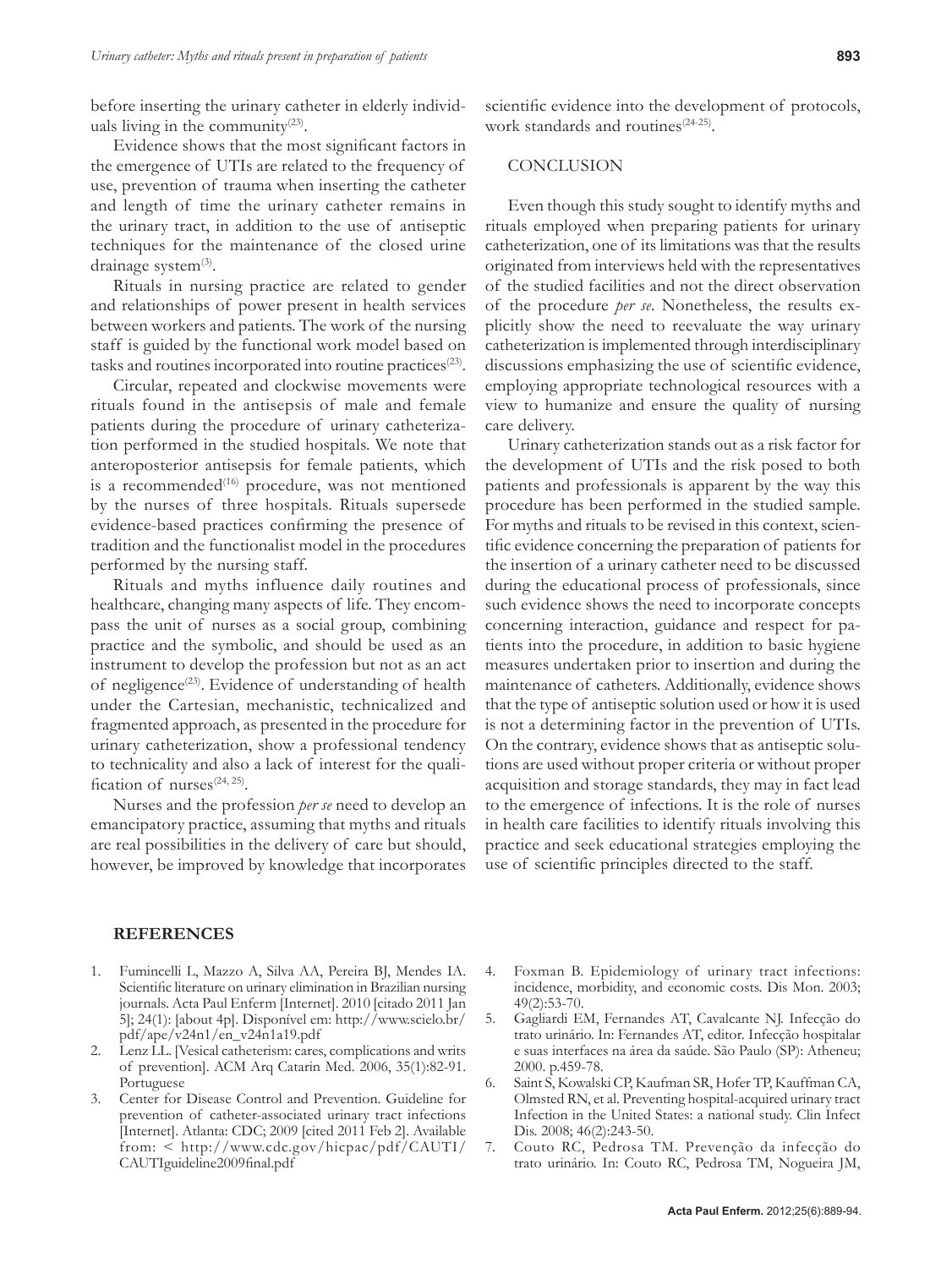before inserting the urinary catheter in elderly individuals living in the community $(23)$ .

Evidence shows that the most significant factors in the emergence of UTIs are related to the frequency of use, prevention of trauma when inserting the catheter and length of time the urinary catheter remains in the urinary tract, in addition to the use of antiseptic techniques for the maintenance of the closed urine drainage system $(3)$ .

Rituals in nursing practice are related to gender and relationships of power present in health services between workers and patients. The work of the nursing staff is guided by the functional work model based on tasks and routines incorporated into routine practices<sup>(23)</sup>.

Circular, repeated and clockwise movements were rituals found in the antisepsis of male and female patients during the procedure of urinary catheterization performed in the studied hospitals. We note that anteroposterior antisepsis for female patients, which is a recommended<sup>(16)</sup> procedure, was not mentioned by the nurses of three hospitals. Rituals supersede evidence-based practices confirming the presence of tradition and the functionalist model in the procedures performed by the nursing staff.

Rituals and myths influence daily routines and healthcare, changing many aspects of life. They encompass the unit of nurses as a social group, combining practice and the symbolic, and should be used as an instrument to develop the profession but not as an act of negligence<sup> $(23)$ </sup>. Evidence of understanding of health under the Cartesian, mechanistic, technicalized and fragmented approach, as presented in the procedure for urinary catheterization, show a professional tendency to technicality and also a lack of interest for the qualification of nurses $(24, 25)$ .

Nurses and the profession *per se* need to develop an emancipatory practice, assuming that myths and rituals are real possibilities in the delivery of care but should, however, be improved by knowledge that incorporates scientific evidence into the development of protocols, work standards and routines<sup>(24-25)</sup>.

## **CONCLUSION**

Even though this study sought to identify myths and rituals employed when preparing patients for urinary catheterization, one of its limitations was that the results originated from interviews held with the representatives of the studied facilities and not the direct observation of the procedure *per se*. Nonetheless, the results explicitly show the need to reevaluate the way urinary catheterization is implemented through interdisciplinary discussions emphasizing the use of scientific evidence, employing appropriate technological resources with a view to humanize and ensure the quality of nursing care delivery.

Urinary catheterization stands out as a risk factor for the development of UTIs and the risk posed to both patients and professionals is apparent by the way this procedure has been performed in the studied sample. For myths and rituals to be revised in this context, scientific evidence concerning the preparation of patients for the insertion of a urinary catheter need to be discussed during the educational process of professionals, since such evidence shows the need to incorporate concepts concerning interaction, guidance and respect for patients into the procedure, in addition to basic hygiene measures undertaken prior to insertion and during the maintenance of catheters. Additionally, evidence shows that the type of antiseptic solution used or how it is used is not a determining factor in the prevention of UTIs. On the contrary, evidence shows that as antiseptic solutions are used without proper criteria or without proper acquisition and storage standards, they may in fact lead to the emergence of infections. It is the role of nurses in health care facilities to identify rituals involving this practice and seek educational strategies employing the use of scientific principles directed to the staff.

#### **REFERENCES**

- 1. Fumincelli L, Mazzo A, Silva AA, Pereira BJ, Mendes IA. Scientific literature on urinary elimination in Brazilian nursing journals. Acta Paul Enferm [Internet]. 2010 [citado 2011 Jan 5]; 24(1): [about 4p]. Disponível em: http://www.scielo.br/ pdf/ape/v24n1/en\_v24n1a19.pdf
- 2. Lenz LL. [Vesical catheterism: cares, complications and writs of prevention]. ACM Arq Catarin Med. 2006, 35(1):82-91. Portuguese
- 3. Center for Disease Control and Prevention. Guideline for prevention of catheter-associated urinary tract infections [Internet]. Atlanta: CDC; 2009 [cited 2011 Feb 2]. Available from: < http://www.cdc.gov/hicpac/pdf/CAUTI/ CAUTIguideline2009final.pdf
- 4. Foxman B. Epidemiology of urinary tract infections: incidence, morbidity, and economic costs. Dis Mon. 2003; 49(2):53-70.
- 5. Gagliardi EM, Fernandes AT, Cavalcante NJ. Infecção do trato urinário. In: Fernandes AT, editor. Infecção hospitalar e suas interfaces na área da saúde. São Paulo (SP): Atheneu; 2000. p.459-78.
- 6. Saint S, Kowalski CP, Kaufman SR, Hofer TP, Kauffman CA, Olmsted RN, et al. Preventing hospital-acquired urinary tract Infection in the United States: a national study. Clin Infect Dis. 2008; 46(2):243-50.
- 7. Couto RC, Pedrosa TM. Prevenção da infecção do trato urinário. In: Couto RC, Pedrosa TM, Nogueira JM,